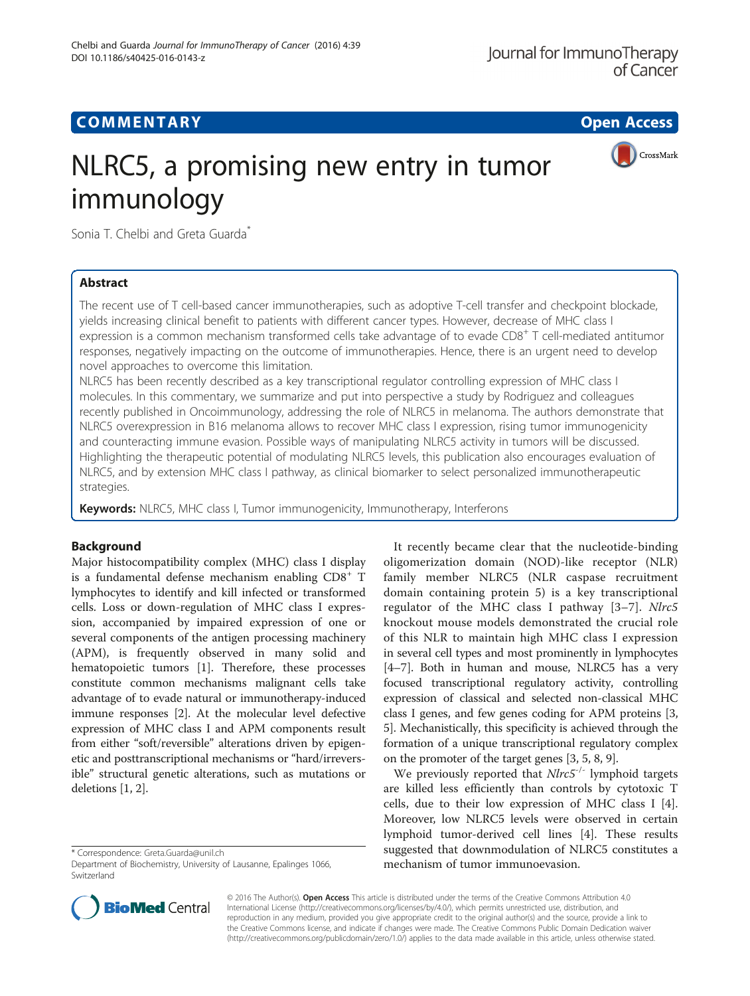# **COMMENTARY COMMENTARY Open Access**

CrossMark



Sonia T. Chelbi and Greta Guarda<sup>\*</sup>

# Abstract

The recent use of T cell-based cancer immunotherapies, such as adoptive T-cell transfer and checkpoint blockade, yields increasing clinical benefit to patients with different cancer types. However, decrease of MHC class I expression is a common mechanism transformed cells take advantage of to evade CD8<sup>+</sup> T cell-mediated antitumor responses, negatively impacting on the outcome of immunotherapies. Hence, there is an urgent need to develop novel approaches to overcome this limitation.

NLRC5 has been recently described as a key transcriptional regulator controlling expression of MHC class I molecules. In this commentary, we summarize and put into perspective a study by Rodriguez and colleagues recently published in Oncoimmunology, addressing the role of NLRC5 in melanoma. The authors demonstrate that NLRC5 overexpression in B16 melanoma allows to recover MHC class I expression, rising tumor immunogenicity and counteracting immune evasion. Possible ways of manipulating NLRC5 activity in tumors will be discussed. Highlighting the therapeutic potential of modulating NLRC5 levels, this publication also encourages evaluation of NLRC5, and by extension MHC class I pathway, as clinical biomarker to select personalized immunotherapeutic strategies.

Keywords: NLRC5, MHC class I, Tumor immunogenicity, Immunotherapy, Interferons

# Background

Major histocompatibility complex (MHC) class I display is a fundamental defense mechanism enabling CD8<sup>+</sup> T lymphocytes to identify and kill infected or transformed cells. Loss or down-regulation of MHC class I expression, accompanied by impaired expression of one or several components of the antigen processing machinery (APM), is frequently observed in many solid and hematopoietic tumors [[1](#page-2-0)]. Therefore, these processes constitute common mechanisms malignant cells take advantage of to evade natural or immunotherapy-induced immune responses [\[2](#page-2-0)]. At the molecular level defective expression of MHC class I and APM components result from either "soft/reversible" alterations driven by epigenetic and posttranscriptional mechanisms or "hard/irreversible" structural genetic alterations, such as mutations or deletions [\[1](#page-2-0), [2\]](#page-2-0).

\* Correspondence: [Greta.Guarda@unil.ch](mailto:Greta.Guarda@unil.ch)



We previously reported that  $Nlrc5^{-/-}$  lymphoid targets are killed less efficiently than controls by cytotoxic T cells, due to their low expression of MHC class I [\[4](#page-2-0)]. Moreover, low NLRC5 levels were observed in certain lymphoid tumor-derived cell lines [\[4\]](#page-2-0). These results suggested that downmodulation of NLRC5 constitutes a mechanism of tumor immunoevasion.



© 2016 The Author(s). Open Access This article is distributed under the terms of the Creative Commons Attribution 4.0 International License [\(http://creativecommons.org/licenses/by/4.0/](http://creativecommons.org/licenses/by/4.0/)), which permits unrestricted use, distribution, and reproduction in any medium, provided you give appropriate credit to the original author(s) and the source, provide a link to the Creative Commons license, and indicate if changes were made. The Creative Commons Public Domain Dedication waiver [\(http://creativecommons.org/publicdomain/zero/1.0/](http://creativecommons.org/publicdomain/zero/1.0/)) applies to the data made available in this article, unless otherwise stated.

Department of Biochemistry, University of Lausanne, Epalinges 1066, Switzerland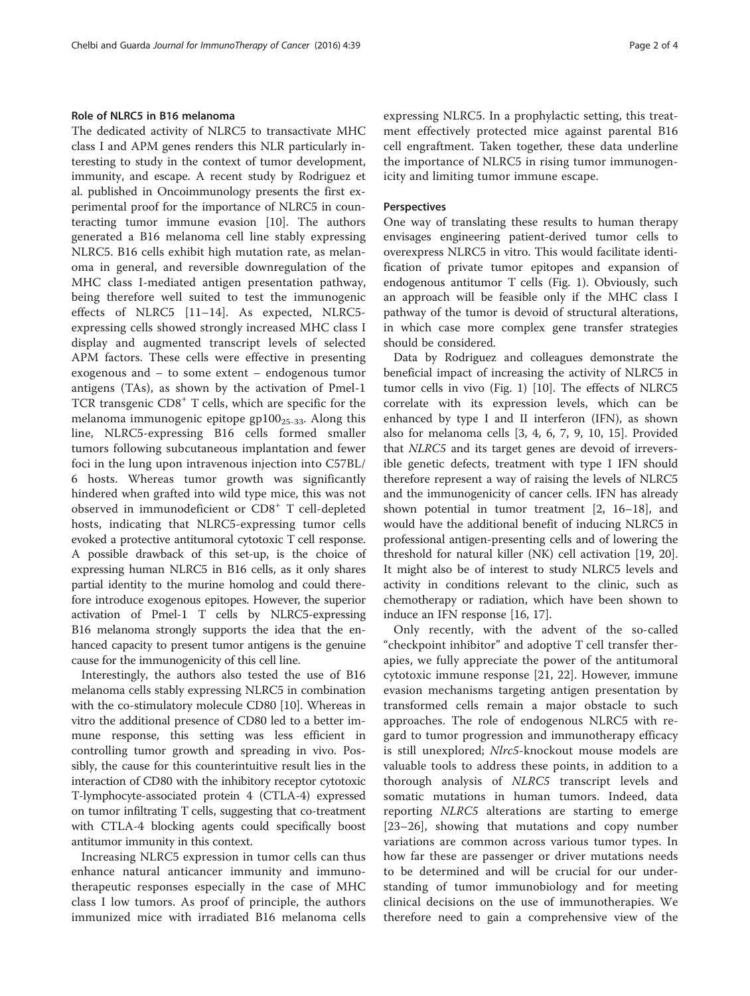### Role of NLRC5 in B16 melanoma

The dedicated activity of NLRC5 to transactivate MHC class I and APM genes renders this NLR particularly interesting to study in the context of tumor development, immunity, and escape. A recent study by Rodriguez et al. published in Oncoimmunology presents the first experimental proof for the importance of NLRC5 in counteracting tumor immune evasion [\[10\]](#page-3-0). The authors generated a B16 melanoma cell line stably expressing NLRC5. B16 cells exhibit high mutation rate, as melanoma in general, and reversible downregulation of the MHC class I-mediated antigen presentation pathway, being therefore well suited to test the immunogenic effects of NLRC5 [[11](#page-3-0)–[14](#page-3-0)]. As expected, NLRC5 expressing cells showed strongly increased MHC class I display and augmented transcript levels of selected APM factors. These cells were effective in presenting exogenous and – to some extent – endogenous tumor antigens (TAs), as shown by the activation of Pmel-1 TCR transgenic CD8<sup>+</sup> T cells, which are specific for the melanoma immunogenic epitope  $gp100_{25-33}$ . Along this line, NLRC5-expressing B16 cells formed smaller tumors following subcutaneous implantation and fewer foci in the lung upon intravenous injection into C57BL/ 6 hosts. Whereas tumor growth was significantly hindered when grafted into wild type mice, this was not observed in immunodeficient or CD8<sup>+</sup> T cell-depleted hosts, indicating that NLRC5-expressing tumor cells evoked a protective antitumoral cytotoxic T cell response. A possible drawback of this set-up, is the choice of expressing human NLRC5 in B16 cells, as it only shares partial identity to the murine homolog and could therefore introduce exogenous epitopes. However, the superior activation of Pmel-1 T cells by NLRC5-expressing B16 melanoma strongly supports the idea that the enhanced capacity to present tumor antigens is the genuine cause for the immunogenicity of this cell line.

Interestingly, the authors also tested the use of B16 melanoma cells stably expressing NLRC5 in combination with the co-stimulatory molecule CD80 [[10](#page-3-0)]. Whereas in vitro the additional presence of CD80 led to a better immune response, this setting was less efficient in controlling tumor growth and spreading in vivo. Possibly, the cause for this counterintuitive result lies in the interaction of CD80 with the inhibitory receptor cytotoxic T-lymphocyte-associated protein 4 (CTLA-4) expressed on tumor infiltrating T cells, suggesting that co-treatment with CTLA-4 blocking agents could specifically boost antitumor immunity in this context.

Increasing NLRC5 expression in tumor cells can thus enhance natural anticancer immunity and immunotherapeutic responses especially in the case of MHC class I low tumors. As proof of principle, the authors immunized mice with irradiated B16 melanoma cells expressing NLRC5. In a prophylactic setting, this treatment effectively protected mice against parental B16 cell engraftment. Taken together, these data underline the importance of NLRC5 in rising tumor immunogenicity and limiting tumor immune escape.

### Perspectives

One way of translating these results to human therapy envisages engineering patient-derived tumor cells to overexpress NLRC5 in vitro. This would facilitate identification of private tumor epitopes and expansion of endogenous antitumor T cells (Fig. [1\)](#page-2-0). Obviously, such an approach will be feasible only if the MHC class I pathway of the tumor is devoid of structural alterations, in which case more complex gene transfer strategies should be considered.

Data by Rodriguez and colleagues demonstrate the beneficial impact of increasing the activity of NLRC5 in tumor cells in vivo (Fig. [1\)](#page-2-0) [\[10](#page-3-0)]. The effects of NLRC5 correlate with its expression levels, which can be enhanced by type I and II interferon (IFN), as shown also for melanoma cells [[3, 4,](#page-2-0) [6, 7, 9](#page-3-0), [10](#page-3-0), [15](#page-3-0)]. Provided that NLRC5 and its target genes are devoid of irreversible genetic defects, treatment with type I IFN should therefore represent a way of raising the levels of NLRC5 and the immunogenicity of cancer cells. IFN has already shown potential in tumor treatment [[2,](#page-2-0) [16](#page-3-0)–[18](#page-3-0)], and would have the additional benefit of inducing NLRC5 in professional antigen-presenting cells and of lowering the threshold for natural killer (NK) cell activation [[19, 20](#page-3-0)]. It might also be of interest to study NLRC5 levels and activity in conditions relevant to the clinic, such as chemotherapy or radiation, which have been shown to induce an IFN response [\[16](#page-3-0), [17](#page-3-0)].

Only recently, with the advent of the so-called "checkpoint inhibitor" and adoptive T cell transfer therapies, we fully appreciate the power of the antitumoral cytotoxic immune response [\[21](#page-3-0), [22\]](#page-3-0). However, immune evasion mechanisms targeting antigen presentation by transformed cells remain a major obstacle to such approaches. The role of endogenous NLRC5 with regard to tumor progression and immunotherapy efficacy is still unexplored; Nlrc5-knockout mouse models are valuable tools to address these points, in addition to a thorough analysis of NLRC5 transcript levels and somatic mutations in human tumors. Indeed, data reporting NLRC5 alterations are starting to emerge [[23](#page-3-0)–[26](#page-3-0)], showing that mutations and copy number variations are common across various tumor types. In how far these are passenger or driver mutations needs to be determined and will be crucial for our understanding of tumor immunobiology and for meeting clinical decisions on the use of immunotherapies. We therefore need to gain a comprehensive view of the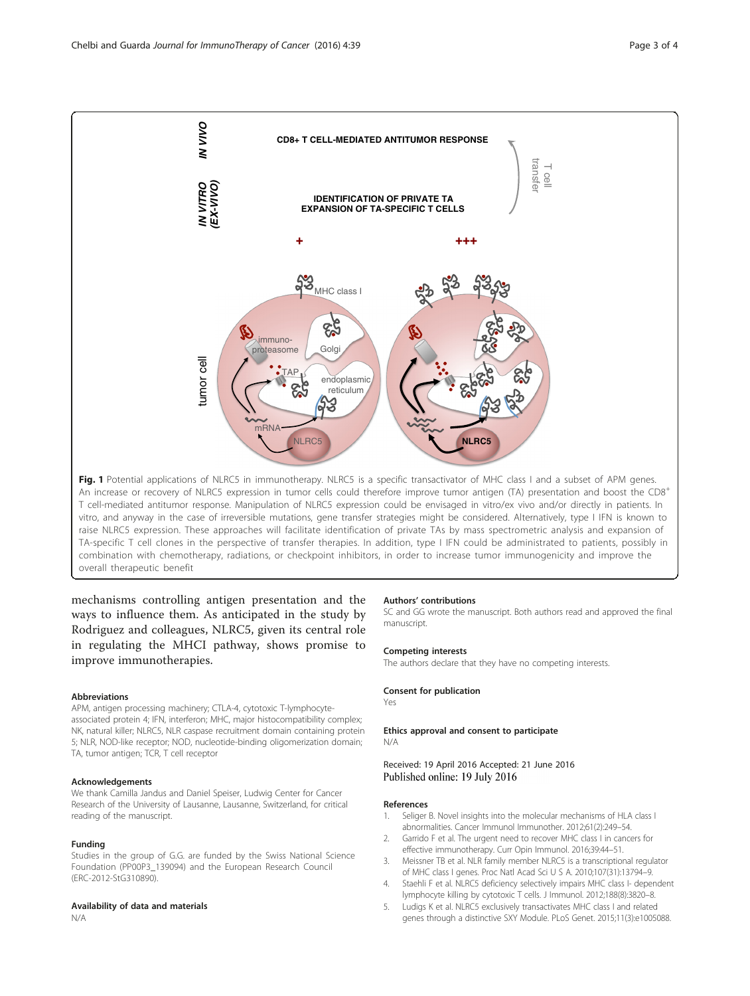<span id="page-2-0"></span>

vitro, and anyway in the case of irreversible mutations, gene transfer strategies might be considered. Alternatively, type I IFN is known to raise NLRC5 expression. These approaches will facilitate identification of private TAs by mass spectrometric analysis and expansion of TA-specific T cell clones in the perspective of transfer therapies. In addition, type I IFN could be administrated to patients, possibly in combination with chemotherapy, radiations, or checkpoint inhibitors, in order to increase tumor immunogenicity and improve the overall therapeutic benefit

mechanisms controlling antigen presentation and the ways to influence them. As anticipated in the study by Rodriguez and colleagues, NLRC5, given its central role in regulating the MHCI pathway, shows promise to improve immunotherapies.

#### Abbreviations

APM, antigen processing machinery; CTLA-4, cytotoxic T-lymphocyteassociated protein 4; IFN, interferon; MHC, major histocompatibility complex; NK, natural killer; NLRC5, NLR caspase recruitment domain containing protein 5; NLR, NOD-like receptor; NOD, nucleotide-binding oligomerization domain; TA, tumor antigen; TCR, T cell receptor

#### Acknowledgements

We thank Camilla Jandus and Daniel Speiser, Ludwig Center for Cancer Research of the University of Lausanne, Lausanne, Switzerland, for critical reading of the manuscript.

#### Funding

Studies in the group of G.G. are funded by the Swiss National Science Foundation (PP00P3\_139094) and the European Research Council (ERC-2012-StG310890).

#### Availability of data and materials

N/A

#### Authors' contributions

SC and GG wrote the manuscript. Both authors read and approved the final manuscript.

#### Competing interests

The authors declare that they have no competing interests.

#### Consent for publication

Yes

#### Ethics approval and consent to participate N/A

Received: 19 April 2016 Accepted: 21 June 2016 Published online: 19 July 2016

### References

- 1. Seliger B. Novel insights into the molecular mechanisms of HLA class I abnormalities. Cancer Immunol Immunother. 2012;61(2):249–54.
- 2. Garrido F et al. The urgent need to recover MHC class I in cancers for effective immunotherapy. Curr Opin Immunol. 2016;39:44–51.
- 3. Meissner TB et al. NLR family member NLRC5 is a transcriptional regulator of MHC class I genes. Proc Natl Acad Sci U S A. 2010;107(31):13794–9.
- 4. Staehli F et al. NLRC5 deficiency selectively impairs MHC class I- dependent lymphocyte killing by cytotoxic T cells. J Immunol. 2012;188(8):3820–8.
- 5. Ludigs K et al. NLRC5 exclusively transactivates MHC class I and related genes through a distinctive SXY Module. PLoS Genet. 2015;11(3):e1005088.